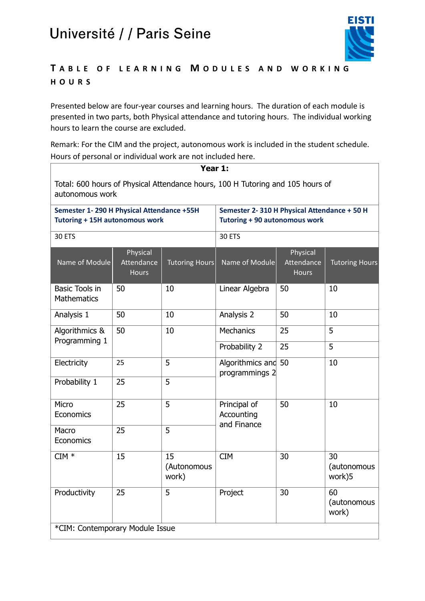

#### **T A B L E O F L E A R N I N G M O D U L E S A N D W O R K I N G H O U R S**

Presented below are four-year courses and learning hours. The duration of each module is presented in two parts, both Physical attendance and tutoring hours. The individual working hours to learn the course are excluded.

Remark: For the CIM and the project, autonomous work is included in the student schedule. Hours of personal or individual work are not included here.

| Year 1:                                                                                           |                                        |                            |                                                                                     |                                        |                             |  |  |
|---------------------------------------------------------------------------------------------------|----------------------------------------|----------------------------|-------------------------------------------------------------------------------------|----------------------------------------|-----------------------------|--|--|
| Total: 600 hours of Physical Attendance hours, 100 H Tutoring and 105 hours of<br>autonomous work |                                        |                            |                                                                                     |                                        |                             |  |  |
| Semester 1-290 H Physical Attendance +55H<br><b>Tutoring + 15H autonomous work</b>                |                                        |                            | Semester 2-310 H Physical Attendance + 50 H<br><b>Tutoring + 90 autonomous work</b> |                                        |                             |  |  |
| 30 ETS                                                                                            |                                        |                            | 30 ETS                                                                              |                                        |                             |  |  |
| Name of Module                                                                                    | Physical<br>Attendance<br><b>Hours</b> | <b>Tutoring Hours</b>      | Name of Module                                                                      | Physical<br>Attendance<br><b>Hours</b> | <b>Tutoring Hours</b>       |  |  |
| <b>Basic Tools in</b><br><b>Mathematics</b>                                                       | 50                                     | 10                         | Linear Algebra                                                                      | 50                                     | 10                          |  |  |
| Analysis 1                                                                                        | 50                                     | 10                         | Analysis 2                                                                          | 50                                     | 10                          |  |  |
| Algorithmics &                                                                                    | 50                                     | 10                         | <b>Mechanics</b>                                                                    | 25                                     | 5                           |  |  |
| Programming 1                                                                                     |                                        |                            | Probability 2                                                                       | 25                                     | 5                           |  |  |
| Electricity                                                                                       | 25                                     | 5                          | Algorithmics and 50<br>programmings 2                                               |                                        | 10                          |  |  |
| Probability 1                                                                                     | 25                                     | 5                          |                                                                                     |                                        |                             |  |  |
| Micro<br>Economics                                                                                | 25                                     | 5                          | Principal of<br>Accounting<br>and Finance                                           | 50                                     | 10                          |  |  |
| Macro<br>Economics                                                                                | 25                                     | 5                          |                                                                                     |                                        |                             |  |  |
| $CIM$ *                                                                                           | 15                                     | 15<br>(Autonomous<br>work) | <b>CIM</b>                                                                          | 30                                     | 30<br>(autonomous<br>work)5 |  |  |
| Productivity                                                                                      | 25                                     | 5                          | Project                                                                             | 30                                     | 60<br>(autonomous<br>work)  |  |  |
| *CIM: Contemporary Module Issue                                                                   |                                        |                            |                                                                                     |                                        |                             |  |  |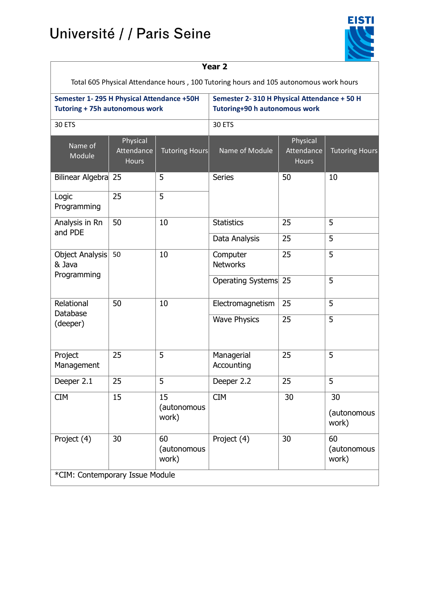# Université / / Paris Seine



| Year <sub>2</sub>                                                                     |                                        |                            |                                                                              |                                        |                            |  |  |
|---------------------------------------------------------------------------------------|----------------------------------------|----------------------------|------------------------------------------------------------------------------|----------------------------------------|----------------------------|--|--|
| Total 605 Physical Attendance hours, 100 Tutoring hours and 105 autonomous work hours |                                        |                            |                                                                              |                                        |                            |  |  |
| Semester 1-295 H Physical Attendance +50H<br><b>Tutoring + 75h autonomous work</b>    |                                        |                            | Semester 2-310 H Physical Attendance + 50 H<br>Tutoring+90 h autonomous work |                                        |                            |  |  |
| 30 ETS                                                                                |                                        |                            | 30 ETS                                                                       |                                        |                            |  |  |
| Name of<br>Module                                                                     | Physical<br>Attendance<br><b>Hours</b> | <b>Tutoring Hours</b>      | Name of Module                                                               | Physical<br>Attendance<br><b>Hours</b> | <b>Tutoring Hours</b>      |  |  |
| Bilinear Algebra                                                                      | 25                                     | 5                          | <b>Series</b>                                                                | 50                                     | 10                         |  |  |
| Logic<br>Programming                                                                  | 25                                     | 5                          |                                                                              |                                        |                            |  |  |
| Analysis in Rn<br>and PDE                                                             | 50                                     | 10                         | <b>Statistics</b>                                                            | 25                                     | 5                          |  |  |
|                                                                                       |                                        |                            | Data Analysis                                                                | 25                                     | 5                          |  |  |
| Object Analysis<br>& Java<br>Programming                                              | 50                                     | 10                         | Computer<br><b>Networks</b>                                                  | 25                                     | 5                          |  |  |
|                                                                                       |                                        |                            | Operating Systems                                                            | 25                                     | 5                          |  |  |
| Relational                                                                            | 50                                     | 10                         | Electromagnetism                                                             | 25                                     | 5                          |  |  |
| Database<br>(deeper)                                                                  |                                        |                            | <b>Wave Physics</b>                                                          | 25                                     | 5                          |  |  |
| Project<br>Management                                                                 | 25                                     | 5                          | Managerial<br>Accounting                                                     | 25                                     | 5                          |  |  |
| Deeper 2.1                                                                            | 25                                     | 5                          | Deeper 2.2                                                                   | 25                                     | 5                          |  |  |
| <b>CIM</b>                                                                            | 15                                     | 15<br>(autonomous<br>work) | <b>CIM</b>                                                                   | 30                                     | 30<br>(autonomous<br>work) |  |  |
| Project (4)                                                                           | 30                                     | 60<br>(autonomous<br>work) | Project (4)                                                                  | 30                                     | 60<br>(autonomous<br>work) |  |  |
| *CIM: Contemporary Issue Module                                                       |                                        |                            |                                                                              |                                        |                            |  |  |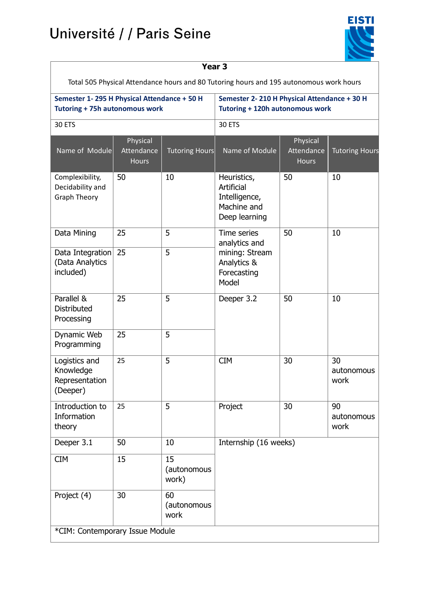# Université / / Paris Seine

 $\mathbf{r}$ 



| Year 3                                                                                  |                                        |                            |                                                                                       |                                        |                          |  |  |
|-----------------------------------------------------------------------------------------|----------------------------------------|----------------------------|---------------------------------------------------------------------------------------|----------------------------------------|--------------------------|--|--|
| Total 505 Physical Attendance hours and 80 Tutoring hours and 195 autonomous work hours |                                        |                            |                                                                                       |                                        |                          |  |  |
| Semester 1-295 H Physical Attendance + 50 H<br><b>Tutoring + 75h autonomous work</b>    |                                        |                            | Semester 2-210 H Physical Attendance + 30 H<br>Tutoring + 120h autonomous work        |                                        |                          |  |  |
| 30 ETS                                                                                  |                                        |                            | 30 ETS                                                                                |                                        |                          |  |  |
| Name of Module                                                                          | Physical<br>Attendance<br><b>Hours</b> | <b>Tutoring Hours</b>      | Name of Module                                                                        | Physical<br>Attendance<br><b>Hours</b> | <b>Tutoring Hours</b>    |  |  |
| Complexibility,<br>Decidability and<br><b>Graph Theory</b>                              | 50                                     | 10                         | Heuristics,<br>Artificial<br>Intelligence,<br>Machine and<br>Deep learning            | 50                                     | 10                       |  |  |
| Data Mining                                                                             | 25                                     | 5                          | Time series<br>analytics and<br>mining: Stream<br>Analytics &<br>Forecasting<br>Model | 50                                     | 10                       |  |  |
| Data Integration<br>(Data Analytics<br>included)                                        | 25                                     | 5                          |                                                                                       |                                        |                          |  |  |
| Parallel &<br><b>Distributed</b><br>Processing                                          | 25                                     | 5                          | Deeper 3.2                                                                            | 50                                     | 10                       |  |  |
| Dynamic Web<br>Programming                                                              | 25                                     | 5                          |                                                                                       |                                        |                          |  |  |
| Logistics and<br>Knowledge<br>Representation<br>(Deeper)                                | 25                                     | 5                          | <b>CIM</b>                                                                            | 30                                     | 30<br>autonomous<br>work |  |  |
| Introduction to<br>Information<br>theory                                                | 25                                     | 5                          | Project                                                                               | 30                                     | 90<br>autonomous<br>work |  |  |
| Deeper 3.1                                                                              | 50                                     | 10                         | Internship (16 weeks)                                                                 |                                        |                          |  |  |
| <b>CIM</b>                                                                              | 15                                     | 15<br>(autonomous<br>work) |                                                                                       |                                        |                          |  |  |
| Project (4)                                                                             | 30                                     | 60<br>(autonomous<br>work  |                                                                                       |                                        |                          |  |  |
| *CIM: Contemporary Issue Module                                                         |                                        |                            |                                                                                       |                                        |                          |  |  |

#### **Year 3**